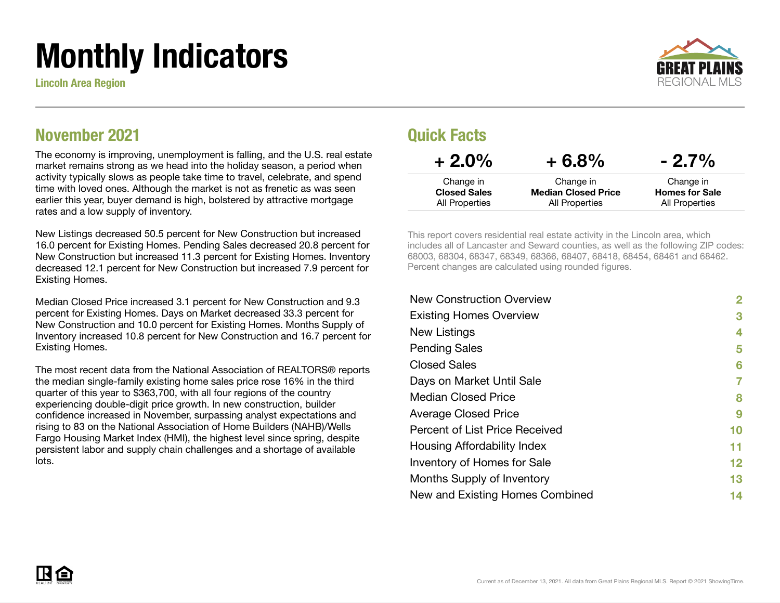# Monthly Indicators

Lincoln Area Region



### November 2021

The economy is improving, unemployment is falling, and the U.S. real estate market remains strong as we head into the holiday season, a period when activity typically slows as people take time to travel, celebrate, and spend time with loved ones. Although the market is not as frenetic as was seen earlier this year, buyer demand is high, bolstered by attractive mortgage rates and a low supply of inventory.

New Listings decreased 50.5 percent for New Construction but increased 16.0 percent for Existing Homes. Pending Sales decreased 20.8 percent for New Construction but increased 11.3 percent for Existing Homes. Inventory decreased 12.1 percent for New Construction but increased 7.9 percent for Existing Homes.

Median Closed Price increased 3.1 percent for New Construction and 9.3 percent for Existing Homes. Days on Market decreased 33.3 percent for New Construction and 10.0 percent for Existing Homes. Months Supply of Inventory increased 10.8 percent for New Construction and 16.7 percent for Existing Homes.

The most recent data from the National Association of REALTORS® reports the median single-family existing home sales price rose 16% in the third quarter of this year to \$363,700, with all four regions of the country experiencing double-digit price growth. In new construction, builder confidence increased in November, surpassing analyst expectations and rising to 83 on the National Association of Home Builders (NAHB)/Wells Fargo Housing Market Index (HMI), the highest level since spring, despite persistent labor and supply chain challenges and a shortage of available lots.

### Quick Facts

| $+2.0\%$            | $+6.8%$                    | $-2.7\%$              |
|---------------------|----------------------------|-----------------------|
| Change in           | Change in                  | Change in             |
| <b>Closed Sales</b> | <b>Median Closed Price</b> | <b>Homes for Sale</b> |
| All Properties      | All Properties             | All Properties        |

This report covers residential real estate activity in the Lincoln area, which includes all of Lancaster and Seward counties, as well as the following ZIP codes: 68003, 68304, 68347, 68349, 68366, 68407, 68418, 68454, 68461 and 68462. Percent changes are calculated using rounded figures.

| <b>New Construction Overview</b> | 2  |
|----------------------------------|----|
| <b>Existing Homes Overview</b>   | 3  |
| New Listings                     | 4  |
| <b>Pending Sales</b>             | 5  |
| <b>Closed Sales</b>              | 6  |
| Days on Market Until Sale        | 7  |
| <b>Median Closed Price</b>       | 8  |
| <b>Average Closed Price</b>      | 9  |
| Percent of List Price Received   | 10 |
| Housing Affordability Index      | 11 |
| Inventory of Homes for Sale      | 12 |
| Months Supply of Inventory       | 13 |
| New and Existing Homes Combined  | 14 |
|                                  |    |

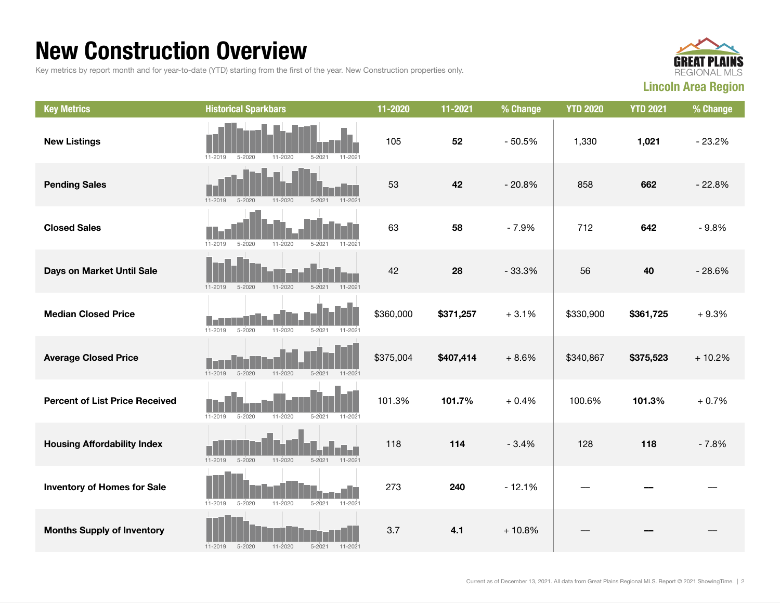### New Construction Overview

Key metrics by report month and for year-to-date (YTD) starting from the first of the year. New Construction properties only.



| <b>Key Metrics</b>                    | <b>Historical Sparkbars</b>                                           | 11-2020   | 11-2021   | % Change | <b>YTD 2020</b> | <b>YTD 2021</b> | % Change |
|---------------------------------------|-----------------------------------------------------------------------|-----------|-----------|----------|-----------------|-----------------|----------|
| <b>New Listings</b>                   | 11-2020<br>$11 - 2021$<br>11-2019<br>5-2020<br>$5 - 2021$             | 105       | 52        | $-50.5%$ | 1,330           | 1,021           | $-23.2%$ |
| <b>Pending Sales</b>                  | $11 - 2019$<br>$5 - 2020$<br>$11 - 2020$<br>$5 - 2021$<br>$11 - 2021$ | 53        | 42        | $-20.8%$ | 858             | 662             | $-22.8%$ |
| <b>Closed Sales</b>                   | $11 - 2019$<br>$5 - 2020$<br>$11 - 2020$<br>$5 - 2021$<br>11-2021     | 63        | 58        | $-7.9%$  | 712             | 642             | $-9.8%$  |
| Days on Market Until Sale             | $5 - 2021$<br>$11 - 2021$<br>11-2019<br>$5 - 2020$<br>11-2020         | 42        | 28        | $-33.3%$ | 56              | 40              | $-28.6%$ |
| <b>Median Closed Price</b>            | $5 - 2020$<br>$11 - 2019$<br>$11 - 2020$<br>$5 - 2021$<br>11-2021     | \$360,000 | \$371,257 | $+3.1%$  | \$330,900       | \$361,725       | $+9.3%$  |
| <b>Average Closed Price</b>           | $11 - 2020$<br>11-2019<br>$5 - 2020$<br>$5 - 2021$<br>11-2021         | \$375,004 | \$407,414 | $+8.6%$  | \$340,867       | \$375,523       | $+10.2%$ |
| <b>Percent of List Price Received</b> | $11 - 2019$<br>$5 - 2020$<br>11-2020<br>$5 - 2021$<br>11-2021         | 101.3%    | 101.7%    | $+0.4%$  | 100.6%          | 101.3%          | $+0.7%$  |
| <b>Housing Affordability Index</b>    | $11 - 2019$<br>$5 - 2020$<br>11-2020<br>$5 - 2021$<br>$11 - 2021$     | 118       | 114       | $-3.4%$  | 128             | 118             | $-7.8%$  |
| <b>Inventory of Homes for Sale</b>    | $5 - 2020$<br>11-2020<br>$5 - 2021$<br>11-2021<br>$11 - 2019$         | 273       | 240       | $-12.1%$ |                 |                 |          |
| <b>Months Supply of Inventory</b>     | $11 - 2019$<br>$5 - 2020$<br>$11 - 2020$<br>$5 - 2021$<br>$11 - 2021$ | 3.7       | 4.1       | $+10.8%$ |                 |                 |          |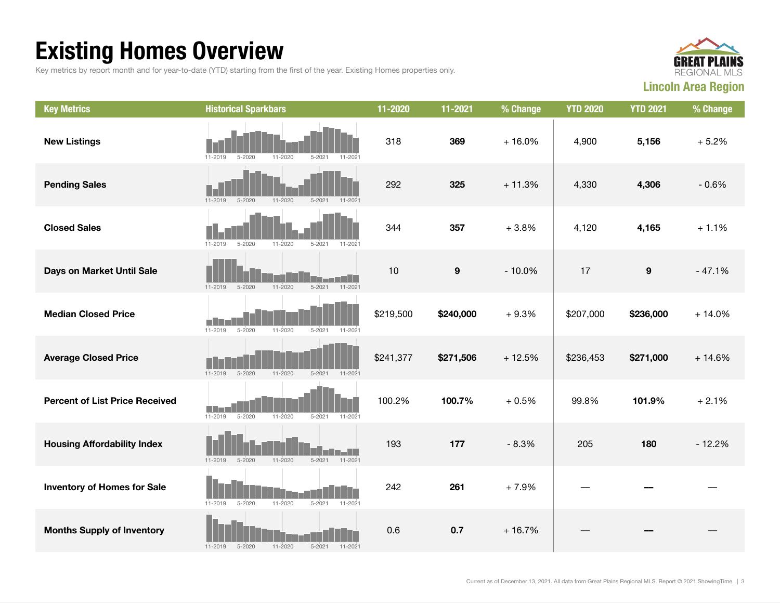## Existing Homes Overview

Key metrics by report month and for year-to-date (YTD) starting from the first of the year. Existing Homes properties only.



| <b>Key Metrics</b>                    | <b>Historical Sparkbars</b>                                           | 11-2020   | 11-2021          | % Change | <b>YTD 2020</b> | <b>YTD 2021</b>  | % Change |
|---------------------------------------|-----------------------------------------------------------------------|-----------|------------------|----------|-----------------|------------------|----------|
| <b>New Listings</b>                   | $11 - 2019$<br>$5 - 2020$<br>11-2020<br>$5 - 2021$<br>$11 - 202$      | 318       | 369              | $+16.0%$ | 4,900           | 5,156            | $+5.2%$  |
| <b>Pending Sales</b>                  | $5 - 2020$<br>$11 - 2020$<br>$5 - 2021$<br>$11 - 2019$<br>$11 - 2021$ | 292       | 325              | $+11.3%$ | 4,330           | 4,306            | $-0.6%$  |
| <b>Closed Sales</b>                   | $11 - 2019$<br>$5 - 2020$<br>$11 - 2020$<br>$5 - 2021$<br>11-2021     | 344       | 357              | $+3.8%$  | 4,120           | 4,165            | $+1.1%$  |
| Days on Market Until Sale             | $5 - 2021$<br>11-2021<br>$11 - 2019$<br>$5 - 2020$<br>$11 - 2020$     | 10        | $\boldsymbol{9}$ | $-10.0%$ | 17              | $\boldsymbol{9}$ | $-47.1%$ |
| <b>Median Closed Price</b>            | $11 - 2019$<br>$5 - 2020$<br>$11 - 2020$<br>$5 - 2021$<br>$11 - 2021$ | \$219,500 | \$240,000        | $+9.3%$  | \$207,000       | \$236,000        | $+14.0%$ |
| <b>Average Closed Price</b>           | $11 - 2019$<br>$5 - 2020$<br>11-2020<br>$5 - 2021$<br>$11 - 2021$     | \$241,377 | \$271,506        | $+12.5%$ | \$236,453       | \$271,000        | $+14.6%$ |
| <b>Percent of List Price Received</b> | $5 - 2020$<br>$11 - 2019$<br>11-2020<br>$5 - 2021$<br>11-2021         | 100.2%    | 100.7%           | $+0.5%$  | 99.8%           | 101.9%           | $+2.1%$  |
| <b>Housing Affordability Index</b>    | 11-2020<br>$11 - 2021$<br>$11 - 2019$<br>$5 - 2020$<br>$5 - 2021$     | 193       | 177              | $-8.3%$  | 205             | 180              | $-12.2%$ |
| <b>Inventory of Homes for Sale</b>    | 11-2020<br>$5 - 2021$<br>11-2021<br>$11 - 2019$<br>$5 - 2020$         | 242       | 261              | $+7.9%$  |                 |                  |          |
| <b>Months Supply of Inventory</b>     | 11-2020<br>$5 - 2021$<br>$11 - 2019$<br>$5 - 2020$<br>11-2021         | 0.6       | 0.7              | $+16.7%$ |                 |                  |          |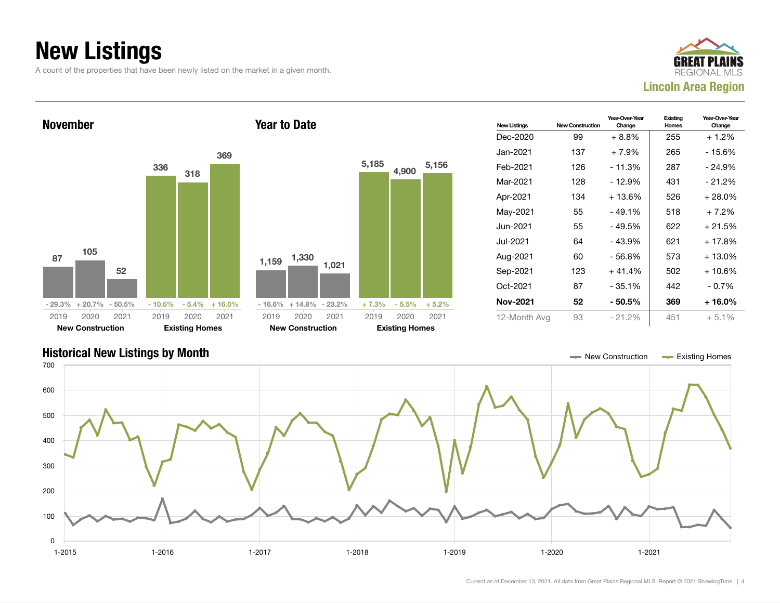### New Listings

A count of the properties that have been newly listed on the market in a given month.





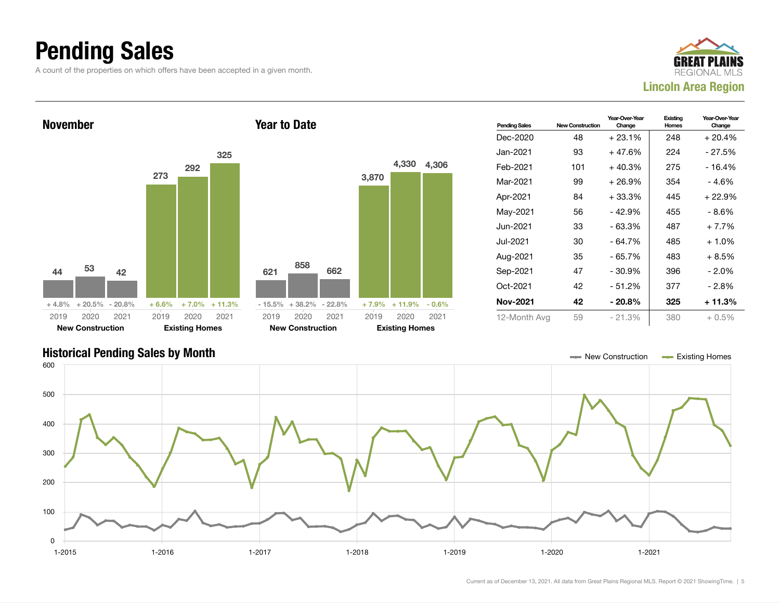### Pending Sales

A count of the properties on which offers have been accepted in a given month.





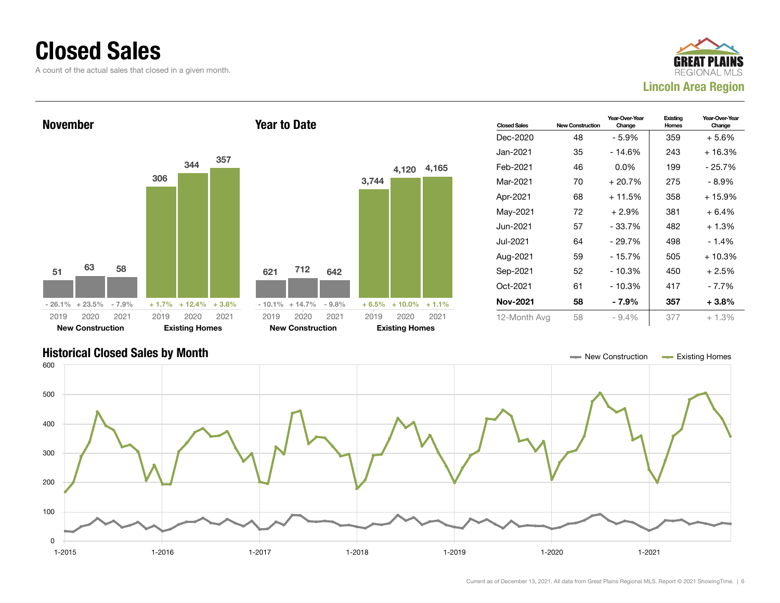### Closed Sales

A count of the actual sales that closed in a given month.





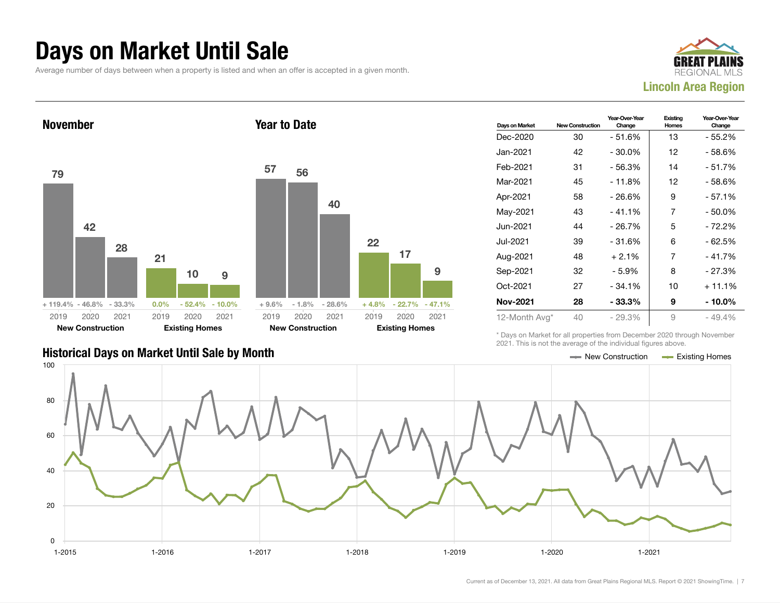### Days on Market Until Sale

Average number of days between when a property is listed and when an offer is accepted in a given month.





| Days on Market  | <b>New Construction</b> | Year-Over-Year<br>Change | Existing<br><b>Homes</b> | Year-Over-Year<br>Change |
|-----------------|-------------------------|--------------------------|--------------------------|--------------------------|
| Dec-2020        | 30                      | $-51.6%$                 | 13                       | - 55.2%                  |
| Jan-2021        | 42                      | $-30.0%$                 | 12                       | - 58.6%                  |
| Feb-2021        | 31                      | - 56.3%                  | 14                       | - 51.7%                  |
| Mar-2021        | 45                      | $-11.8%$                 | 12                       | $-58.6%$                 |
| Apr-2021        | 58                      | $-26.6%$                 | 9                        | $-57.1%$                 |
| May-2021        | 43                      | $-41.1%$                 | 7                        | - 50.0%                  |
| Jun-2021        | 44                      | $-26.7%$                 | 5                        | - 72.2%                  |
| Jul-2021        | 39                      | $-31.6%$                 | 6                        | - 62.5%                  |
| Aug-2021        | 48                      | $+2.1%$                  | 7                        | - 41.7%                  |
| Sep-2021        | 32                      | $-5.9%$                  | 8                        | $-27.3%$                 |
| Oct-2021        | 27                      | $-34.1%$                 | 10                       | $+11.1%$                 |
| <b>Nov-2021</b> | 28                      | - 33.3%                  | 9                        | - 10.0%                  |
| 12-Month Avg*   | 40                      | $-29.3%$                 | 9                        | - 49.4%                  |

Historical Days on Market Until Sale by Month New York New York New York New York New York New York New York New York New York New York New York New York New York New York New York New York New York New York New York New Y

\* Days on Market for all properties from December 2020 through November 2021. This is not the average of the individual figures above.



9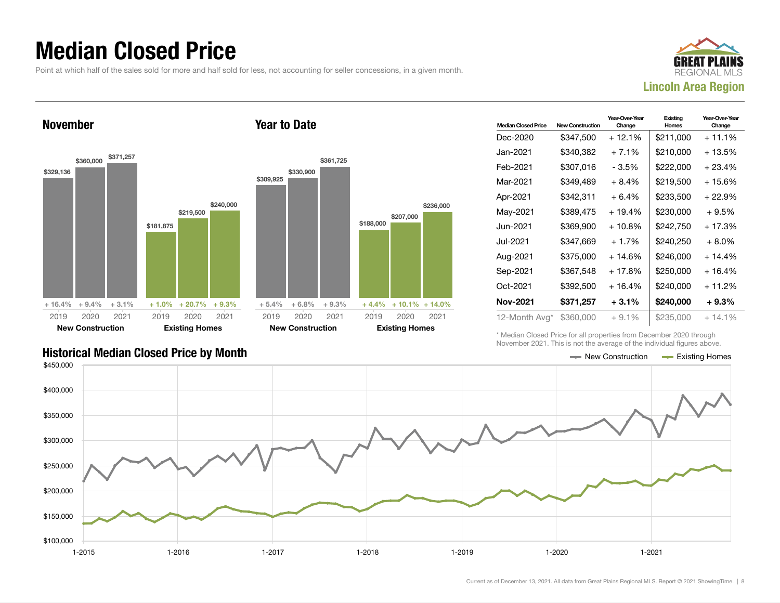### Median Closed Price

Point at which half of the sales sold for more and half sold for less, not accounting for seller concessions, in a given month.

Year to Date



November



| <b>Median Closed Price</b> | <b>New Construction</b> | Year-Over-Year<br>Change | Existing<br>Homes | Year-Over-Year<br>Change |
|----------------------------|-------------------------|--------------------------|-------------------|--------------------------|
| Dec-2020                   | \$347,500               | $+12.1%$                 | \$211,000         | $+11.1%$                 |
| Jan-2021.                  | \$340,382               | $+7.1%$                  | \$210,000         | $+13.5%$                 |
| Feb-2021                   | \$307,016               | - 3.5%                   | \$222,000         | $+23.4%$                 |
| Mar-2021                   | \$349.489               | $+8.4%$                  | \$219,500         | $+15.6%$                 |
| Apr-2021                   | \$342,311               | $+6.4%$                  | \$233,500         | $+22.9%$                 |
| May-2021                   | \$389.475               | $+19.4%$                 | \$230.000         | $+9.5%$                  |
| Jun-2021 <b>.</b>          | \$369,900               | $+10.8%$                 | \$242,750         | $+17.3%$                 |
| Jul-2021.                  | \$347.669               | $+1.7%$                  | \$240.250         | $+8.0\%$                 |
| Aug-2021                   | \$375,000               | + 14.6%                  | \$246,000         | $+14.4%$                 |
| Sep-2021                   | \$367,548               | $+17.8%$                 | \$250,000         | $+16.4%$                 |
| Oct-2021                   | \$392,500               | $+16.4%$                 | \$240.000         | $+11.2%$                 |
| <b>Nov-2021</b>            | \$371,257               | $+3.1%$                  | \$240,000         | $+9.3%$                  |
| 12-Month Avg*              | \$360,000               | $+9.1%$                  | \$235,000         | $+14.1%$                 |

\* Median Closed Price for all properties from December 2020 through November 2021. This is not the average of the individual figures above.



\$236,000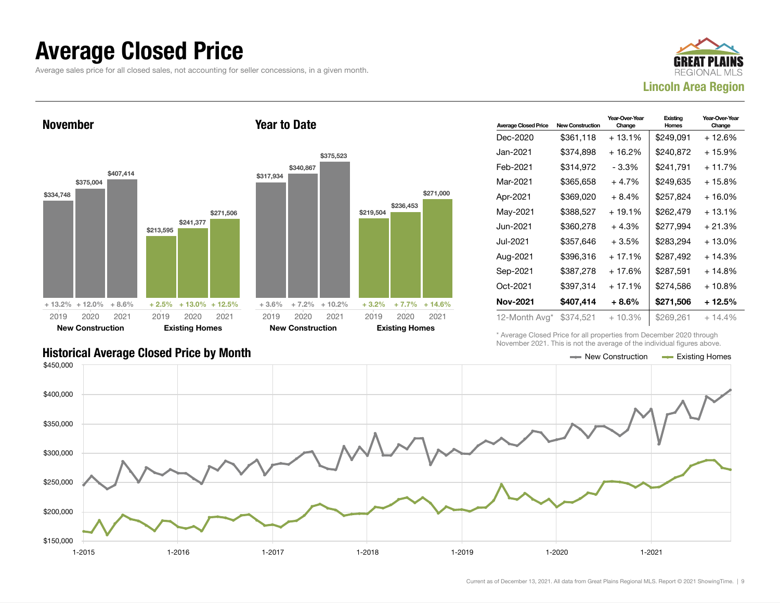### Average Closed Price

Average sales price for all closed sales, not accounting for seller concessions, in a given month.



November \$334,748 \$375,004 \$407,414 + 13.2% + 12.0% + 8.6% \$213,595 \$241,377 \$271,506 + 2.5% + 13.0% + 12.5% 2019 New Construction 2020 2021 2019 Existing Homes 2020 2021 Year to Date \$317,934 \$340,867 \$375,523  $+3.6\%$   $+7.2\%$   $+10.2\%$ \$219,504 \$236,453  $+3.2\%$   $+7.7\%$   $+14.6\%$ 2019 New Construction 2020 2021 2019 Existing Homes 2020 2021

| <b>Average Closed Price</b> | <b>New Construction</b> | Year-Over-Year<br>Change | Existina<br>Homes | Year-Over-Year<br>Change |
|-----------------------------|-------------------------|--------------------------|-------------------|--------------------------|
| Dec-2020                    | \$361,118               | $+13.1\%$                | \$249.091         | + 12.6%                  |
| Jan-2021.                   | \$374,898               | $+16.2%$                 | \$240,872         | + 15.9%                  |
| Feb-2021                    | \$314,972               | - 3.3%                   | \$241,791         | $+11.7%$                 |
| Mar-2021                    | \$365,658               | $+4.7%$                  | \$249,635         | + 15.8%                  |
| Apr-2021                    | \$369,020               | $+8.4%$                  | \$257,824         | + 16.0%                  |
| May-2021                    | \$388,527               | $+19.1%$                 | \$262,479         | $+13.1%$                 |
| Jun-2021 <b>.</b>           | \$360,278               | $+4.3%$                  | \$277,994         | + 21.3%                  |
| Jul-2021.                   | \$357,646               | $+3.5%$                  | \$283,294         | $+13.0%$                 |
| Aug-2021                    | \$396,316               | $+17.1%$                 | \$287.492         | $+14.3%$                 |
| Sep-2021                    | \$387,278               | $+17.6%$                 | \$287,591         | $+14.8%$                 |
| Oct-2021                    | \$397,314               | $+17.1%$                 | \$274.586         | $+10.8%$                 |
| Nov-2021                    | \$407,414               | $+8.6\%$                 | \$271,506         | + 12.5%                  |
| 12-Month Avg*               | \$374,521               | $+10.3%$                 | \$269,261         | $+14.4\%$                |

\* Average Closed Price for all properties from December 2020 through November 2021. This is not the average of the individual figures above.



\$271,000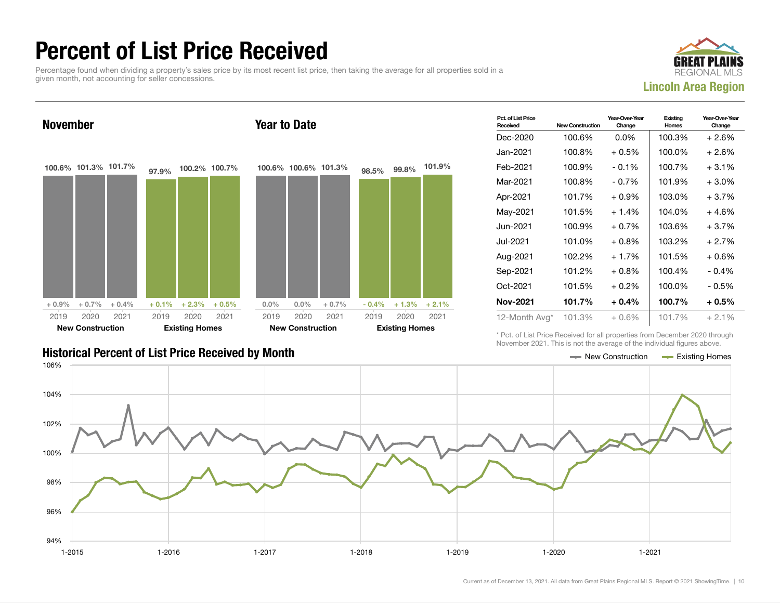### Percent of List Price Received

Percentage found when dividing a property's sales price by its most recent list price, then taking the average for all properties sold in a given month, not accounting for seller concessions.





| Pct. of List Price<br>Received | <b>New Construction</b> | Year-Over-Year<br>Change | Existing<br>Homes | Year-Over-Year<br>Change |
|--------------------------------|-------------------------|--------------------------|-------------------|--------------------------|
| Dec-2020                       | 100.6%                  | $0.0\%$                  | 100.3%            | $+2.6%$                  |
| Jan-2021.                      | 100.8%                  | $+0.5%$                  | 100.0%            | $+2.6%$                  |
| Feb-2021                       | 100.9%                  | $-0.1%$                  | 100.7%            | $+3.1%$                  |
| Mar-2021                       | 100.8%                  | $-0.7\%$                 | 101.9%            | $+3.0\%$                 |
| Apr-2021                       | 101.7%                  | $+0.9\%$                 | 103.0%            | $+3.7%$                  |
| May-2021                       | 101.5%                  | $+1.4%$                  | 104.0%            | $+4.6%$                  |
| Jun-2021.                      | 100.9%                  | $+0.7%$                  | 103.6%            | $+3.7%$                  |
| Jul-2021.                      | 101.0%                  | $+0.8\%$                 | 103.2%            | $+2.7%$                  |
| Aug-2021                       | 102.2%                  | $+1.7%$                  | 101.5%            | $+0.6%$                  |
| Sep-2021                       | 101.2%                  | $+0.8\%$                 | 100.4%            | $-0.4%$                  |
| Oct-2021                       | 101.5%                  | $+0.2\%$                 | 100.0%            | $-0.5%$                  |
| Nov-2021                       | 101.7%                  | $+0.4%$                  | 100.7%            | $+0.5%$                  |
| 12-Month Avg*                  | 101.3%                  | $+0.6\%$                 | 101.7%            | $+2.1%$                  |

\* Pct. of List Price Received for all properties from December 2020 through November 2021. This is not the average of the individual figures above.

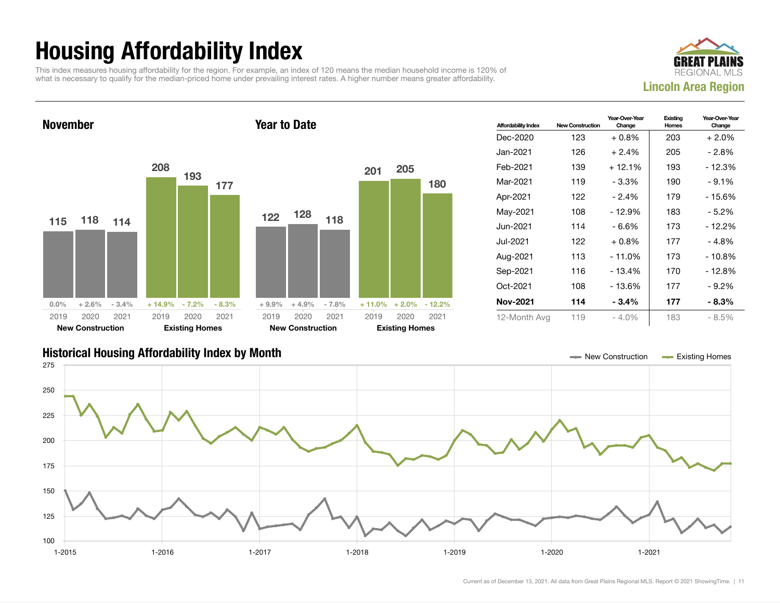## Housing Affordability Index

This index measures housing affordability for the region. For example, an index of 120 means the median household income is 120% of what is necessary to qualify for the median-priced home under prevailing interest rates. A higher number means greater affordability.



November 115 118 114  $0.0\%$  + 2.6% - 3.4% 208 193 177 + 14.9% - 7.2% - 8.3% 2019 New Construction 2020 2021 2019 Existing Homes 2020 2021 Year to Date 122 128 118 + 9.9% + 4.9% - 7.8% 201 205 180 + 11.0% + 2.0% - 12.2% 2019 New Construction 2020 2021 2019 Existing Homes 2020 2021

| <b>Affordability Index</b> | <b>New Construction</b> | Year-Over-Year<br>Change | Existing<br>Homes | Year-Over-Year<br>Change |
|----------------------------|-------------------------|--------------------------|-------------------|--------------------------|
| Dec-2020                   | 123                     | $+0.8\%$                 | 203               | $+2.0%$                  |
| Jan-2021.                  | 126                     | $+2.4%$                  | 205               | - 2.8%                   |
| Feb-2021                   | 139                     | $+12.1%$                 | 193               | - 12.3%                  |
| Mar-2021                   | 119                     | - 3.3%                   | 190               | $-9.1%$                  |
| Apr-2021                   | 122                     | $-2.4%$                  | 179               | - 15.6%                  |
| May-2021                   | 108                     | $-12.9%$                 | 183               | - 5.2%                   |
| Jun-2021                   | 114                     | - 6.6%                   | 173               | - 12.2%                  |
| Jul-2021.                  | 122                     | $+0.8\%$                 | 177               | - 4.8%                   |
| Aug-2021                   | 113                     | $-11.0\%$                | 173               | - 10.8%                  |
| Sep-2021                   | 116                     | $-13.4%$                 | 170               | - 12.8%                  |
| Oct-2021                   | 108                     | - 13.6%                  | 177               | $-9.2\%$                 |
| Nov-2021                   | 114                     | $-3.4%$                  | 177               | $-8.3\%$                 |
| 12-Month Avg               | 119                     | - 4.0%                   | 183               | $-8.5%$                  |

### Historical Housing Affordability Index by Month New Construction Existing Homes

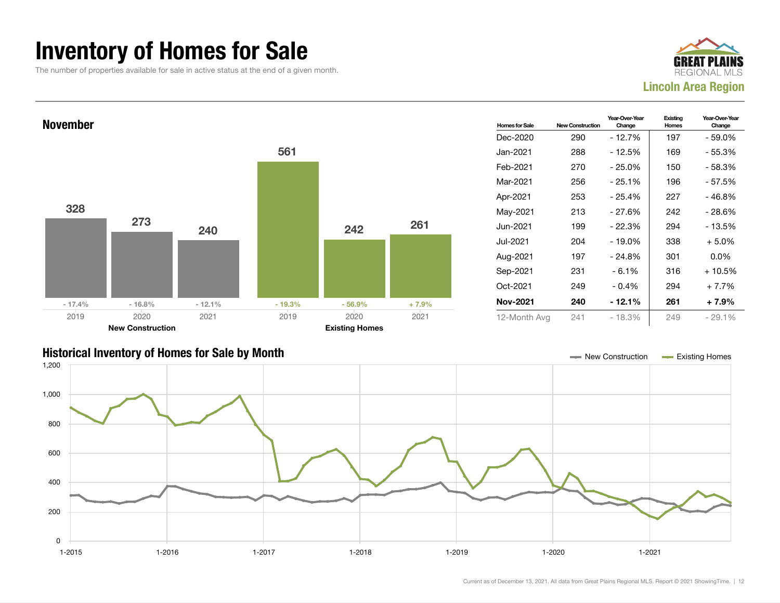### Inventory of Homes for Sale

The number of properties available for sale in active status at the end of a given month.





### Historical Inventory of Homes for Sale by Month New Construction Existing Homes

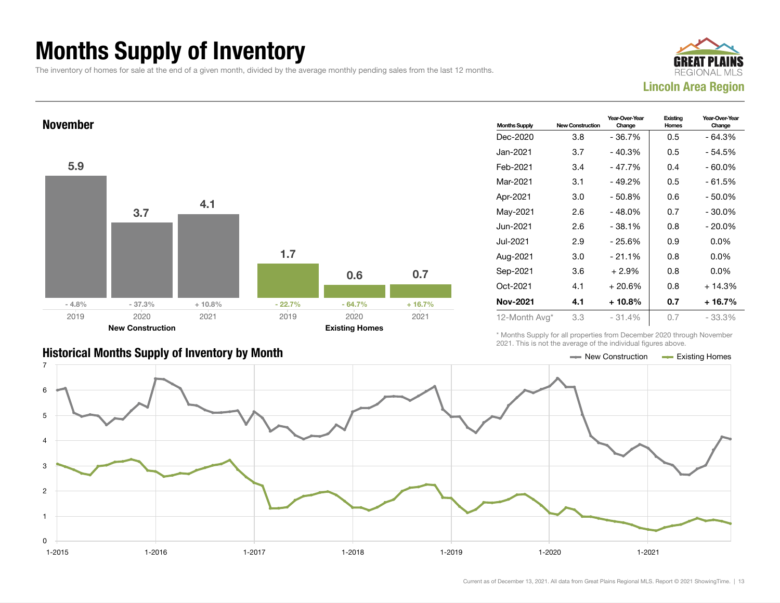## Months Supply of Inventory

The inventory of homes for sale at the end of a given month, divided by the average monthly pending sales from the last 12 months.





| <b>Historical Months Supply of Inventory by Month</b> | $\equiv$ New Construction | <b>Existing Homes</b> |
|-------------------------------------------------------|---------------------------|-----------------------|

| <b>Months Supply</b> | <b>New Construction</b> | Year-Over-Year<br>Change | Existing<br>Homes | Year-Over-Year<br>Change |
|----------------------|-------------------------|--------------------------|-------------------|--------------------------|
| Dec-2020             | 3.8                     | $-36.7%$                 | 0.5               | $-64.3%$                 |
| Jan-2021.            | 3.7                     | - 40.3%                  | 0.5               | - 54.5%                  |
| Feb-2021             | 3.4                     | - 47.7%                  | 0.4               | - 60.0%                  |
| Mar-2021             | 3.1                     | $-49.2%$                 | 0.5               | $-61.5%$                 |
| Apr-2021             | 3.0                     | $-50.8%$                 | 0.6               | - 50.0%                  |
| May-2021             | 2.6                     | $-48.0\%$                | 0.7               | $-30.0\%$                |
| Jun-2021.            | 2.6                     | $-38.1%$                 | 0.8               | $-20.0\%$                |
| Jul-2021.            | 2.9                     | $-25.6%$                 | 0.9               | $0.0\%$                  |
| Aug-2021             | 3.0                     | $-21.1%$                 | 0.8               | $0.0\%$                  |
| Sep-2021             | 3.6                     | $+2.9%$                  | 0.8               | $0.0\%$                  |
| Oct-2021             | 4.1                     | $+20.6%$                 | 0.8               | $+14.3%$                 |
| Nov-2021             | 4.1                     | $+10.8\%$                | 0.7               | $+16.7%$                 |
| 12-Month Avg*        | 3.3                     | $-31.4%$                 | 0.7               | $-33.3%$                 |

\* Months Supply for all properties from December 2020 through November 2021. This is not the average of the individual figures above.